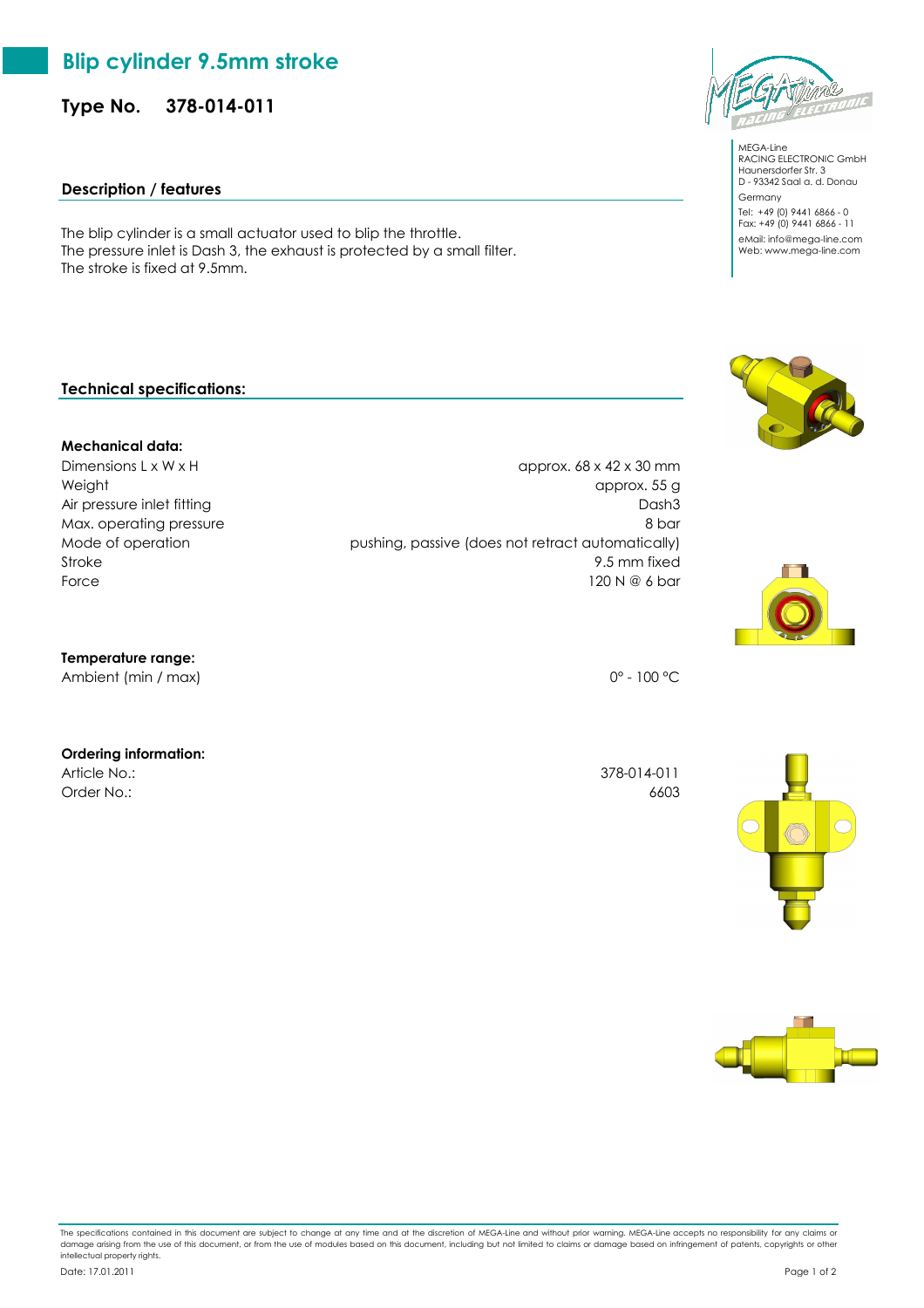## **Blip cylinder 9.5mm stroke**

**Type No. 378-014-011**

## **Description / features**

The blip cylinder is a small actuator used to blip the throttle. The pressure inlet is Dash 3, the exhaust is protected by a small filter. The stroke is fixed at 9.5mm.

## **Technical specifications:**

#### **Mechanical data:**

Dimensions L x W x H  $approx. 68 x 42 x 30 mm$ Weight approx. 55 g Air pressure inlet fitting Dash3 Max. operating pressure 8 bar Mode of operation pushing, passive (does not retract automatically) Stroke 9.5 mm fixed Force  $\overline{a}$  120 N  $\Re$  6 bar

#### **Temperature range:**

Ambient (min / max) 0° - 100 °C

#### **Ordering information:**

Article No.: 378-014-011 Order No.: 6603

The specifications contained in this document are subject to change at any time and at the discretion of MEGA-Line and without prior warning. MEGA-Line accepts no responsibility for any claims or damage arising from the use of this document, or from the use of modules based on this document, including but not limited to claims or damage based on infringement of patents, copyrights or other intellectual property rights.











MEGA-Line